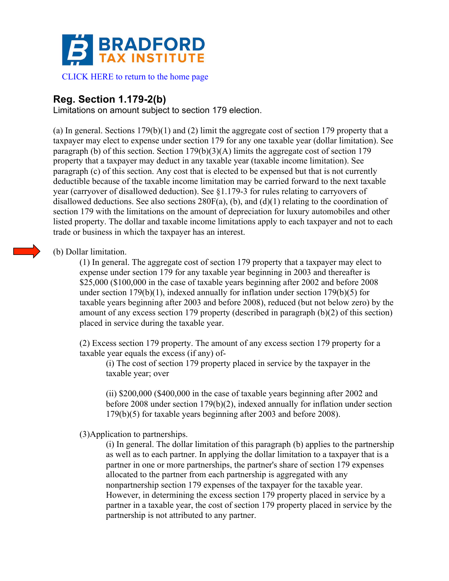

### [CLICK HERE to return to the home page](www.bradfordtaxinstitute.com)

# **Reg. Section 1.179-2(b)**

Limitations on amount subject to section 179 election.

(a) In general. Sections 179(b)(1) and (2) limit the aggregate cost of section 179 property that a taxpayer may elect to expense under section 179 for any one taxable year (dollar limitation). See paragraph (b) of this section. Section 179(b)(3)(A) limits the aggregate cost of section 179 property that a taxpayer may deduct in any taxable year (taxable income limitation). See paragraph (c) of this section. Any cost that is elected to be expensed but that is not currently deductible because of the taxable income limitation may be carried forward to the next taxable year (carryover of disallowed deduction). See §1.179-3 for rules relating to carryovers of disallowed deductions. See also sections  $280F(a)$ , (b), and (d)(1) relating to the coordination of section 179 with the limitations on the amount of depreciation for luxury automobiles and other listed property. The dollar and taxable income limitations apply to each taxpayer and not to each trade or business in which the taxpayer has an interest.

# (b) Dollar limitation.

(1) In general. The aggregate cost of section 179 property that a taxpayer may elect to expense under section 179 for any taxable year beginning in 2003 and thereafter is \$25,000 (\$100,000 in the case of taxable years beginning after 2002 and before 2008 under section 179(b)(1), indexed annually for inflation under section 179(b)(5) for taxable years beginning after 2003 and before 2008), reduced (but not below zero) by the amount of any excess section 179 property (described in paragraph (b)(2) of this section) placed in service during the taxable year.

(2) Excess section 179 property. The amount of any excess section 179 property for a taxable year equals the excess (if any) of-

(i) The cost of section 179 property placed in service by the taxpayer in the taxable year; over

(ii) \$200,000 (\$400,000 in the case of taxable years beginning after 2002 and before 2008 under section 179(b)(2), indexed annually for inflation under section 179(b)(5) for taxable years beginning after 2003 and before 2008).

## (3)Application to partnerships.

(i) In general. The dollar limitation of this paragraph (b) applies to the partnership as well as to each partner. In applying the dollar limitation to a taxpayer that is a partner in one or more partnerships, the partner's share of section 179 expenses allocated to the partner from each partnership is aggregated with any nonpartnership section 179 expenses of the taxpayer for the taxable year. However, in determining the excess section 179 property placed in service by a partner in a taxable year, the cost of section 179 property placed in service by the partnership is not attributed to any partner.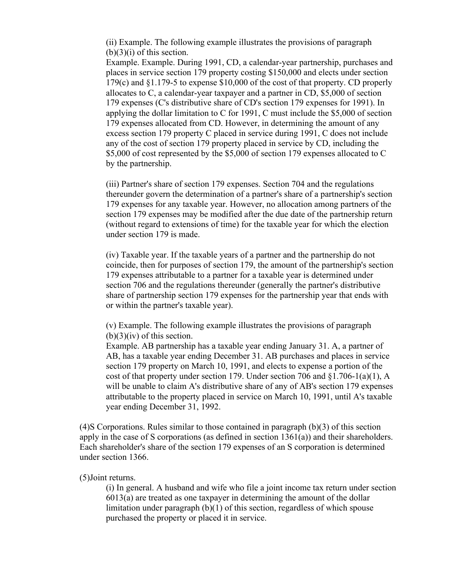(ii) Example. The following example illustrates the provisions of paragraph  $(b)(3)(i)$  of this section.

Example. Example. During 1991, CD, a calendar-year partnership, purchases and places in service section 179 property costing \$150,000 and elects under section 179(c) and §1.179-5 to expense \$10,000 of the cost of that property. CD properly allocates to C, a calendar-year taxpayer and a partner in CD, \$5,000 of section 179 expenses (C's distributive share of CD's section 179 expenses for 1991). In applying the dollar limitation to C for 1991, C must include the \$5,000 of section 179 expenses allocated from CD. However, in determining the amount of any excess section 179 property C placed in service during 1991, C does not include any of the cost of section 179 property placed in service by CD, including the \$5,000 of cost represented by the \$5,000 of section 179 expenses allocated to C by the partnership.

(iii) Partner's share of section 179 expenses. Section 704 and the regulations thereunder govern the determination of a partner's share of a partnership's section 179 expenses for any taxable year. However, no allocation among partners of the section 179 expenses may be modified after the due date of the partnership return (without regard to extensions of time) for the taxable year for which the election under section 179 is made.

(iv) Taxable year. If the taxable years of a partner and the partnership do not coincide, then for purposes of section 179, the amount of the partnership's section 179 expenses attributable to a partner for a taxable year is determined under section 706 and the regulations thereunder (generally the partner's distributive share of partnership section 179 expenses for the partnership year that ends with or within the partner's taxable year).

(v) Example. The following example illustrates the provisions of paragraph  $(b)(3)(iv)$  of this section.

Example. AB partnership has a taxable year ending January 31. A, a partner of AB, has a taxable year ending December 31. AB purchases and places in service section 179 property on March 10, 1991, and elects to expense a portion of the cost of that property under section 179. Under section 706 and  $\S1.706-1(a)(1)$ , A will be unable to claim A's distributive share of any of AB's section 179 expenses attributable to the property placed in service on March 10, 1991, until A's taxable year ending December 31, 1992.

(4)S Corporations. Rules similar to those contained in paragraph (b)(3) of this section apply in the case of S corporations (as defined in section  $1361(a)$ ) and their shareholders. Each shareholder's share of the section 179 expenses of an S corporation is determined under section 1366.

#### (5)Joint returns.

(i) In general. A husband and wife who file a joint income tax return under section 6013(a) are treated as one taxpayer in determining the amount of the dollar limitation under paragraph (b)(1) of this section, regardless of which spouse purchased the property or placed it in service.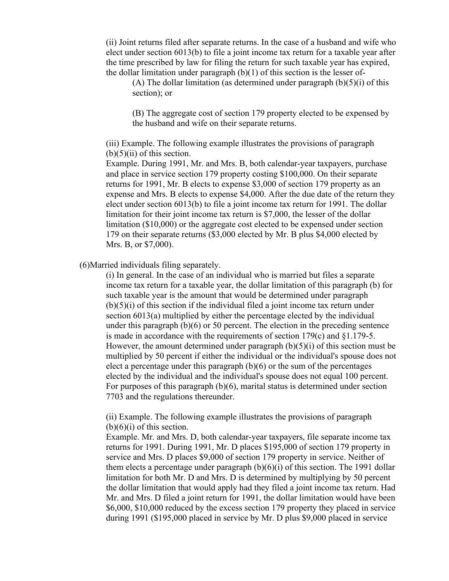(ii) Joint returns filed after separate returns. In the case of a husband and wife who elect under section 6013(b) to file a joint income tax return for a taxable year after the time prescribed by law for filing the return for such taxable year has expired, the dollar limitation under paragraph (b)(1) of this section is the lesser of-

(A) The dollar limitation (as determined under paragraph  $(b)(5)(i)$  of this section); or

(B) The aggregate cost of section 179 property elected to be expensed by the husband and wife on their separate returns.

(iii) Example. The following example illustrates the provisions of paragraph  $(b)(5)(ii)$  of this section.

Example. During 1991, Mr. and Mrs. B, both calendar-year taxpayers, purchase and place in service section 179 property costing \$100,000. On their separate returns for 1991, Mr. B elects to expense \$3,000 of section 179 property as an expense and Mrs. B elects to expense \$4,000. After the due date of the return they elect under section 6013(b) to file a joint income tax return for 1991. The dollar limitation for their joint income tax return is \$7,000, the lesser of the dollar limitation (\$10,000) or the aggregate cost elected to be expensed under section 179 on their separate returns (\$3,000 elected by Mr. B plus \$4,000 elected by Mrs. B, or \$7,000).

(6)Married individuals filing separately.

(i) In general. In the case of an individual who is married but files a separate income tax return for a taxable year, the dollar limitation of this paragraph (b) for such taxable year is the amount that would be determined under paragraph  $(b)(5)(i)$  of this section if the individual filed a joint income tax return under section 6013(a) multiplied by either the percentage elected by the individual under this paragraph (b)(6) or 50 percent. The election in the preceding sentence is made in accordance with the requirements of section 179(c) and §1.179-5. However, the amount determined under paragraph  $(b)(5)(i)$  of this section must be multiplied by 50 percent if either the individual or the individual's spouse does not elect a percentage under this paragraph  $(b)(6)$  or the sum of the percentages elected by the individual and the individual's spouse does not equal 100 percent. For purposes of this paragraph (b)(6), marital status is determined under section 7703 and the regulations thereunder.

(ii) Example. The following example illustrates the provisions of paragraph  $(b)(6)(i)$  of this section.

Example. Mr. and Mrs. D, both calendar-year taxpayers, file separate income tax returns for 1991. During 1991, Mr. D places \$195,000 of section 179 property in service and Mrs. D places \$9,000 of section 179 property in service. Neither of them elects a percentage under paragraph  $(b)(6)(i)$  of this section. The 1991 dollar limitation for both Mr. D and Mrs. D is determined by multiplying by 50 percent the dollar limitation that would apply had they filed a joint income tax return. Had Mr. and Mrs. D filed a joint return for 1991, the dollar limitation would have been \$6,000, \$10,000 reduced by the excess section 179 property they placed in service during 1991 (\$195,000 placed in service by Mr. D plus \$9,000 placed in service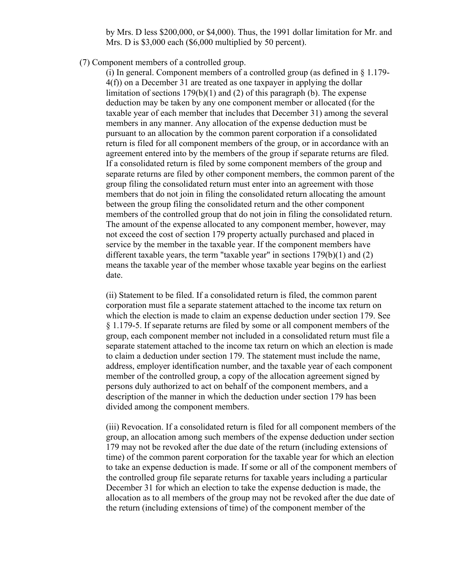by Mrs. D less \$200,000, or \$4,000). Thus, the 1991 dollar limitation for Mr. and Mrs. D is \$3,000 each (\$6,000 multiplied by 50 percent).

(7) Component members of a controlled group.

(i) In general. Component members of a controlled group (as defined in  $\S$  1.179-4(f)) on a December 31 are treated as one taxpayer in applying the dollar limitation of sections 179(b)(1) and (2) of this paragraph (b). The expense deduction may be taken by any one component member or allocated (for the taxable year of each member that includes that December 31) among the several members in any manner. Any allocation of the expense deduction must be pursuant to an allocation by the common parent corporation if a consolidated return is filed for all component members of the group, or in accordance with an agreement entered into by the members of the group if separate returns are filed. If a consolidated return is filed by some component members of the group and separate returns are filed by other component members, the common parent of the group filing the consolidated return must enter into an agreement with those members that do not join in filing the consolidated return allocating the amount between the group filing the consolidated return and the other component members of the controlled group that do not join in filing the consolidated return. The amount of the expense allocated to any component member, however, may not exceed the cost of section 179 property actually purchased and placed in service by the member in the taxable year. If the component members have different taxable years, the term "taxable year" in sections  $179(b)(1)$  and  $(2)$ means the taxable year of the member whose taxable year begins on the earliest date.

(ii) Statement to be filed. If a consolidated return is filed, the common parent corporation must file a separate statement attached to the income tax return on which the election is made to claim an expense deduction under section 179. See § 1.179-5. If separate returns are filed by some or all component members of the group, each component member not included in a consolidated return must file a separate statement attached to the income tax return on which an election is made to claim a deduction under section 179. The statement must include the name, address, employer identification number, and the taxable year of each component member of the controlled group, a copy of the allocation agreement signed by persons duly authorized to act on behalf of the component members, and a description of the manner in which the deduction under section 179 has been divided among the component members.

(iii) Revocation. If a consolidated return is filed for all component members of the group, an allocation among such members of the expense deduction under section 179 may not be revoked after the due date of the return (including extensions of time) of the common parent corporation for the taxable year for which an election to take an expense deduction is made. If some or all of the component members of the controlled group file separate returns for taxable years including a particular December 31 for which an election to take the expense deduction is made, the allocation as to all members of the group may not be revoked after the due date of the return (including extensions of time) of the component member of the